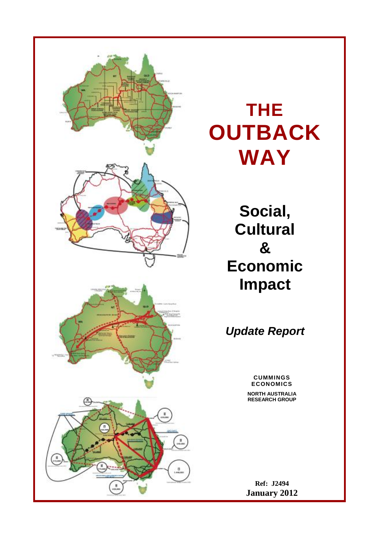

# **THE OUTBACK WAY**

**Social, Cultural & Economic Impact**

*Update Report*

#### **CUMMINGS ECONOMICS**

**NORTH AUSTRALIA RESEARCH GROUP**

**Ref: J2494 January 2012**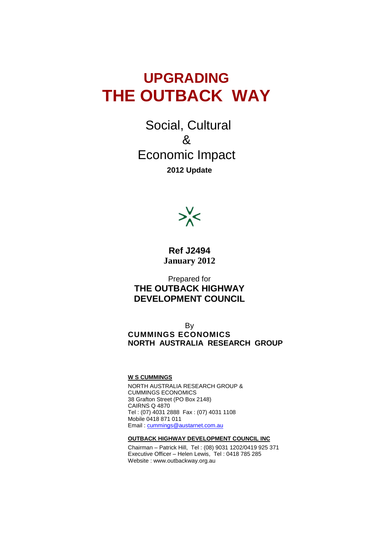# **UPGRADING THE OUTBACK WAY**

Social, Cultural & Economic Impact **2012 Update**



**Ref J2494 January 2012**

Prepared for **THE OUTBACK HIGHWAY DEVELOPMENT COUNCIL**

**B**<sub>v</sub> **CUMMINGS ECONOMICS NORTH AUSTRALIA RESEARCH GROUP**

**W S CUMMINGS**

NORTH AUSTRALIA RESEARCH GROUP & CUMMINGS ECONOMICS 38 Grafton Street (PO Box 2148) CAIRNS Q 4870 Tel : (07) 4031 2888 Fax : (07) 4031 1108 Mobile 0418 871 011 Email : [cummings@austarnet.com.au](mailto:cummings@austarnet.com.au)

**OUTBACK HIGHWAY DEVELOPMENT COUNCIL INC**

Chairman – Patrick Hill, Tel : (08) 9031 1202/0419 925 371 Executive Officer – Helen Lewis, Tel : 0418 785 285 Website : www.outbackway.org.au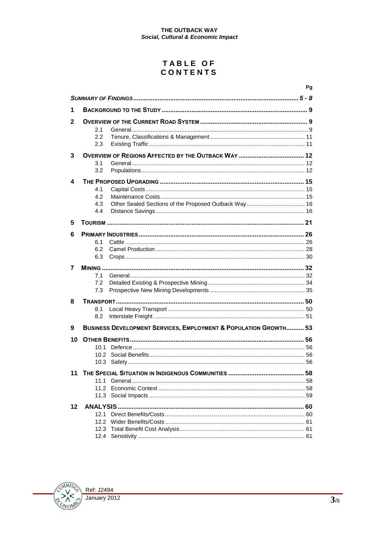# TABLE OF<br>CONTENTS

|    |                                                                             | Pg |
|----|-----------------------------------------------------------------------------|----|
|    |                                                                             |    |
| 1  |                                                                             |    |
| 2  | 2.1<br>2.2<br>2.3                                                           |    |
| 3  | 3.1<br>3.2                                                                  |    |
| 4  | 4.1<br>4.2<br>4.3<br>4.4                                                    |    |
| 5  |                                                                             |    |
| 6  | 6.1<br>6.2<br>6.3                                                           |    |
| 7  | 7.1<br>7.2                                                                  |    |
|    | 7.3                                                                         |    |
| 8  | 8.1<br>8.2                                                                  |    |
| 9  | <b>BUSINESS DEVELOPMENT SERVICES, EMPLOYMENT &amp; POPULATION GROWTH 53</b> |    |
| 10 | 10.1<br>10.2 <sup>2</sup>                                                   |    |
|    |                                                                             |    |
| 11 | 1111<br>11.2                                                                | 58 |
| 12 |                                                                             |    |
|    | 12.1<br>12.2                                                                |    |
|    |                                                                             |    |

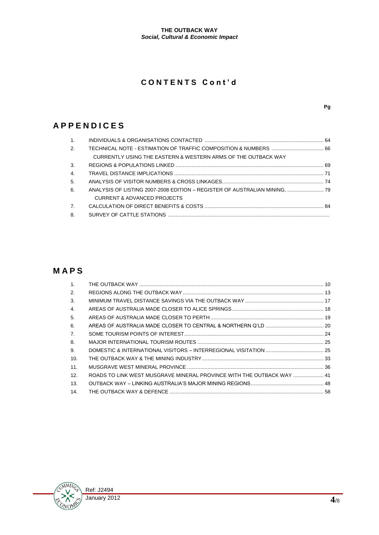# **C O N T E N T S C o n t ' d**

# **A P P E N D I C E S**

| $\mathbf{1}$ . |                                                                            |  |
|----------------|----------------------------------------------------------------------------|--|
| 2.             |                                                                            |  |
|                | CURRENTLY USING THE EASTERN & WESTERN ARMS OF THE OUTBACK WAY              |  |
| 3.             |                                                                            |  |
| 4.             |                                                                            |  |
| 5.             |                                                                            |  |
| 6.             | ANALYSIS OF LISTING 2007-2008 EDITION - REGISTER OF AUSTRALIAN MINING,  79 |  |
|                | CURRENT & ADVANCED PROJECTS                                                |  |
| $\overline{7}$ |                                                                            |  |
| 8.             |                                                                            |  |

# **M A P S**

| $\mathbf{1}$ . |                                                                       |  |
|----------------|-----------------------------------------------------------------------|--|
| 2.             |                                                                       |  |
| 3.             |                                                                       |  |
| 4.             |                                                                       |  |
| 5.             |                                                                       |  |
| 6.             |                                                                       |  |
| 7.             |                                                                       |  |
| 8.             |                                                                       |  |
| 9.             |                                                                       |  |
| -10.           |                                                                       |  |
| 11.            |                                                                       |  |
| 12.            | ROADS TO LINK WEST MUSGRAVE MINERAL PROVINCE WITH THE OUTBACK WAY  41 |  |
| 13.            |                                                                       |  |
| 14.            |                                                                       |  |

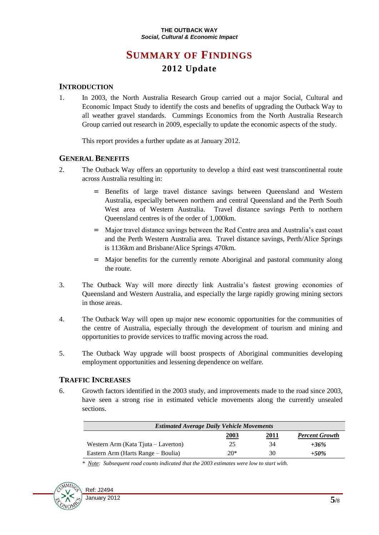# **SUMMARY OF FINDINGS 2012 Update**

## **INTRODUCTION**

1. In 2003, the North Australia Research Group carried out a major Social, Cultural and Economic Impact Study to identify the costs and benefits of upgrading the Outback Way to all weather gravel standards. Cummings Economics from the North Australia Research Group carried out research in 2009, especially to update the economic aspects of the study.

This report provides a further update as at January 2012.

### **GENERAL BENEFITS**

- 2. The Outback Way offers an opportunity to develop a third east west transcontinental route across Australia resulting in:
	- = Benefits of large travel distance savings between Queensland and Western Australia, especially between northern and central Queensland and the Perth South West area of Western Australia. Travel distance savings Perth to northern Queensland centres is of the order of 1,000km.
	- = Major travel distance savings between the Red Centre area and Australia's east coast and the Perth Western Australia area. Travel distance savings, Perth/Alice Springs is 1136km and Brisbane/Alice Springs 470km.
	- = Major benefits for the currently remote Aboriginal and pastoral community along the route.
- 3. The Outback Way will more directly link Australia's fastest growing economies of Queensland and Western Australia, and especially the large rapidly growing mining sectors in those areas.
- 4. The Outback Way will open up major new economic opportunities for the communities of the centre of Australia, especially through the development of tourism and mining and opportunities to provide services to traffic moving across the road.
- 5. The Outback Way upgrade will boost prospects of Aboriginal communities developing employment opportunities and lessening dependence on welfare.

## **TRAFFIC INCREASES**

6. Growth factors identified in the 2003 study, and improvements made to the road since 2003, have seen a strong rise in estimated vehicle movements along the currently unsealed sections.

| <b>Estimated Average Daily Vehicle Movements</b> |             |      |                       |  |
|--------------------------------------------------|-------------|------|-----------------------|--|
|                                                  | <u>2003</u> | 2011 | <b>Percent Growth</b> |  |
| Western Arm (Kata Tjuta – Laverton)              | 25          | 34   | $+36%$                |  |
| Eastern Arm (Harts Range – Boulia)               | $20*$       | 30   | $+50\%$               |  |

*\* Note: Subsequent road counts indicated that the 2003 estimates were low to start with.*

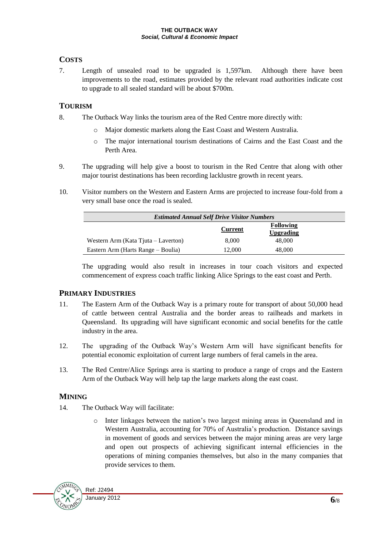# **COSTS**

7. Length of unsealed road to be upgraded is 1,597km. Although there have been improvements to the road, estimates provided by the relevant road authorities indicate cost to upgrade to all sealed standard will be about \$700m.

# **TOURISM**

- 8. The Outback Way links the tourism area of the Red Centre more directly with:
	- o Major domestic markets along the East Coast and Western Australia.
	- o The major international tourism destinations of Cairns and the East Coast and the Perth Area.
- 9. The upgrading will help give a boost to tourism in the Red Centre that along with other major tourist destinations has been recording lacklustre growth in recent years.
- 10. Visitor numbers on the Western and Eastern Arms are projected to increase four-fold from a very small base once the road is sealed.

| <b>Estimated Annual Self Drive Visitor Numbers</b> |                |                                      |  |
|----------------------------------------------------|----------------|--------------------------------------|--|
|                                                    | <b>Current</b> | <b>Following</b><br><b>Upgrading</b> |  |
| Western Arm (Kata Tjuta – Laverton)                | 8.000          | 48,000                               |  |
| Eastern Arm (Harts Range – Boulia)                 | 12,000         | 48,000                               |  |

The upgrading would also result in increases in tour coach visitors and expected commencement of express coach traffic linking Alice Springs to the east coast and Perth.

## **PRIMARY INDUSTRIES**

- 11. The Eastern Arm of the Outback Way is a primary route for transport of about 50,000 head of cattle between central Australia and the border areas to railheads and markets in Queensland. Its upgrading will have significant economic and social benefits for the cattle industry in the area.
- 12. The upgrading of the Outback Way's Western Arm will have significant benefits for potential economic exploitation of current large numbers of feral camels in the area.
- 13. The Red Centre/Alice Springs area is starting to produce a range of crops and the Eastern Arm of the Outback Way will help tap the large markets along the east coast.

# **MINING**

- 14. The Outback Way will facilitate:
	- o Inter linkages between the nation's two largest mining areas in Queensland and in Western Australia, accounting for 70% of Australia's production. Distance savings in movement of goods and services between the major mining areas are very large and open out prospects of achieving significant internal efficiencies in the operations of mining companies themselves, but also in the many companies that provide services to them.

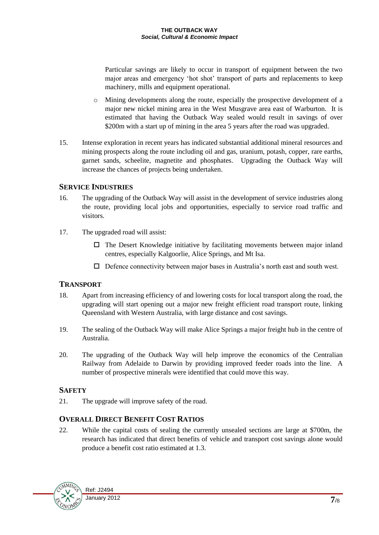Particular savings are likely to occur in transport of equipment between the two major areas and emergency 'hot shot' transport of parts and replacements to keep machinery, mills and equipment operational.

- o Mining developments along the route, especially the prospective development of a major new nickel mining area in the West Musgrave area east of Warburton. It is estimated that having the Outback Way sealed would result in savings of over \$200m with a start up of mining in the area 5 years after the road was upgraded.
- 15. Intense exploration in recent years has indicated substantial additional mineral resources and mining prospects along the route including oil and gas, uranium, potash, copper, rare earths, garnet sands, scheelite, magnetite and phosphates. Upgrading the Outback Way will increase the chances of projects being undertaken.

### **SERVICE INDUSTRIES**

- 16. The upgrading of the Outback Way will assist in the development of service industries along the route, providing local jobs and opportunities, especially to service road traffic and visitors.
- 17. The upgraded road will assist:
	- $\Box$  The Desert Knowledge initiative by facilitating movements between major inland centres, especially Kalgoorlie, Alice Springs, and Mt Isa.
	- $\Box$  Defence connectivity between major bases in Australia's north east and south west.

## **TRANSPORT**

- 18. Apart from increasing efficiency of and lowering costs for local transport along the road, the upgrading will start opening out a major new freight efficient road transport route, linking Queensland with Western Australia, with large distance and cost savings.
- 19. The sealing of the Outback Way will make Alice Springs a major freight hub in the centre of Australia.
- 20. The upgrading of the Outback Way will help improve the economics of the Centralian Railway from Adelaide to Darwin by providing improved feeder roads into the line. A number of prospective minerals were identified that could move this way.

## **SAFETY**

21. The upgrade will improve safety of the road.

## **OVERALL DIRECT BENEFIT COST RATIOS**

22. While the capital costs of sealing the currently unsealed sections are large at \$700m, the research has indicated that direct benefits of vehicle and transport cost savings alone would produce a benefit cost ratio estimated at 1.3.